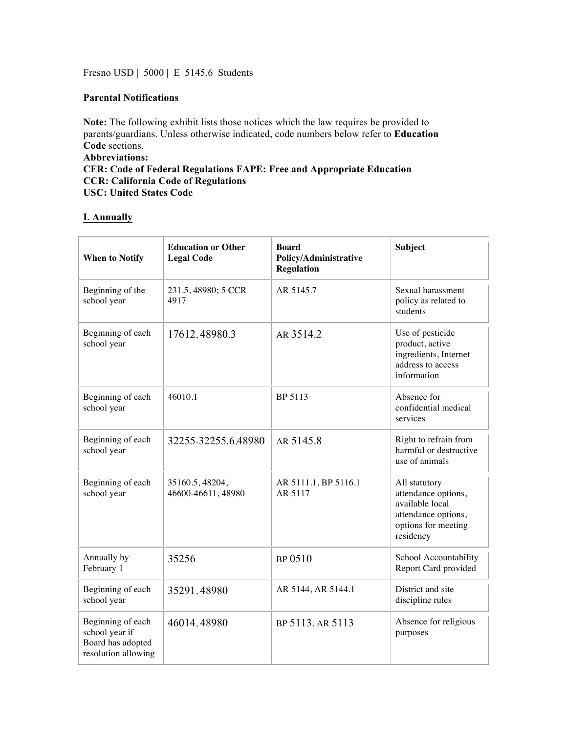Fresno USD | 5000 | E 5145.6 Students

#### **Parental Notifications**

**Note:** The following exhibit lists those notices which the law requires be provided to parents/guardians. Unless otherwise indicated, code numbers below refer to **Education Code** sections. **Abbreviations: CFR: Code of Federal Regulations FAPE: Free and Appropriate Education CCR: California Code of Regulations USC: United States Code**

### **I. Annually**

| <b>When to Notify</b>                                                           | <b>Education or Other</b><br><b>Legal Code</b> | <b>Board</b><br><b>Policy/Administrative</b><br><b>Regulation</b> | <b>Subject</b>                                                                                                     |
|---------------------------------------------------------------------------------|------------------------------------------------|-------------------------------------------------------------------|--------------------------------------------------------------------------------------------------------------------|
| Beginning of the<br>school year                                                 | 231.5, 48980; 5 CCR<br>4917                    | AR 5145.7                                                         | Sexual harassment<br>policy as related to<br>students                                                              |
| Beginning of each<br>school year                                                | 17612, 48980.3                                 | AR 3514.2                                                         | Use of pesticide<br>product, active<br>ingredients, Internet<br>address to access<br>information                   |
| Beginning of each<br>school year                                                | 46010.1                                        | BP 5113                                                           | Absence for<br>confidential medical<br>services                                                                    |
| Beginning of each<br>school year                                                | 32255-32255.6,48980                            | AR 5145.8                                                         | Right to refrain from<br>harmful or destructive<br>use of animals                                                  |
| Beginning of each<br>school year                                                | 35160.5, 48204,<br>46600-46611, 48980          | AR 5111.1, BP 5116.1<br>AR 5117                                   | All statutory<br>attendance options,<br>available local<br>attendance options,<br>options for meeting<br>residency |
| Annually by<br>February 1                                                       | 35256                                          | BP 0510                                                           | School Accountability<br>Report Card provided                                                                      |
| Beginning of each<br>school year                                                | 35291,48980                                    | AR 5144, AR 5144.1                                                | District and site<br>discipline rules                                                                              |
| Beginning of each<br>school year if<br>Board has adopted<br>resolution allowing | 46014, 48980                                   | BP 5113, AR 5113                                                  | Absence for religious<br>purposes                                                                                  |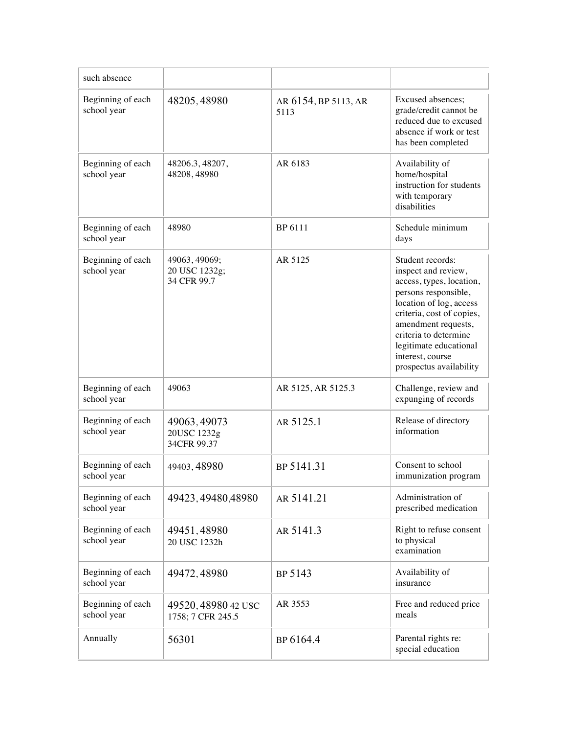| such absence                     |                                               |                              |                                                                                                                                                                                                                                                                              |
|----------------------------------|-----------------------------------------------|------------------------------|------------------------------------------------------------------------------------------------------------------------------------------------------------------------------------------------------------------------------------------------------------------------------|
| Beginning of each<br>school year | 48205, 48980                                  | AR 6154, BP 5113, AR<br>5113 | Excused absences;<br>grade/credit cannot be<br>reduced due to excused<br>absence if work or test<br>has been completed                                                                                                                                                       |
| Beginning of each<br>school year | 48206.3, 48207,<br>48208, 48980               | AR 6183                      | Availability of<br>home/hospital<br>instruction for students<br>with temporary<br>disabilities                                                                                                                                                                               |
| Beginning of each<br>school year | 48980                                         | BP 6111                      | Schedule minimum<br>days                                                                                                                                                                                                                                                     |
| Beginning of each<br>school year | 49063, 49069;<br>20 USC 1232g;<br>34 CFR 99.7 | AR 5125                      | Student records:<br>inspect and review,<br>access, types, location,<br>persons responsible,<br>location of log, access<br>criteria, cost of copies,<br>amendment requests,<br>criteria to determine<br>legitimate educational<br>interest, course<br>prospectus availability |
| Beginning of each<br>school year | 49063                                         | AR 5125, AR 5125.3           | Challenge, review and<br>expunging of records                                                                                                                                                                                                                                |
| Beginning of each<br>school year | 49063, 49073<br>20USC 1232g<br>34CFR 99.37    | AR 5125.1                    | Release of directory<br>information                                                                                                                                                                                                                                          |
| Beginning of each<br>school year | 49403, 48980                                  | BP 5141.31                   | Consent to school<br>immunization program                                                                                                                                                                                                                                    |
| Beginning of each<br>school year | 49423, 49480, 48980                           | AR 5141.21                   | Administration of<br>prescribed medication                                                                                                                                                                                                                                   |
| Beginning of each<br>school year | 49451,48980<br>20 USC 1232h                   | AR 5141.3                    | Right to refuse consent<br>to physical<br>examination                                                                                                                                                                                                                        |
| Beginning of each<br>school year | 49472, 48980                                  | BP 5143                      | Availability of<br>insurance                                                                                                                                                                                                                                                 |
| Beginning of each<br>school year | 49520, 48980 42 USC<br>1758; 7 CFR 245.5      | AR 3553                      | Free and reduced price<br>meals                                                                                                                                                                                                                                              |
| Annually                         | 56301                                         | BP 6164.4                    | Parental rights re:<br>special education                                                                                                                                                                                                                                     |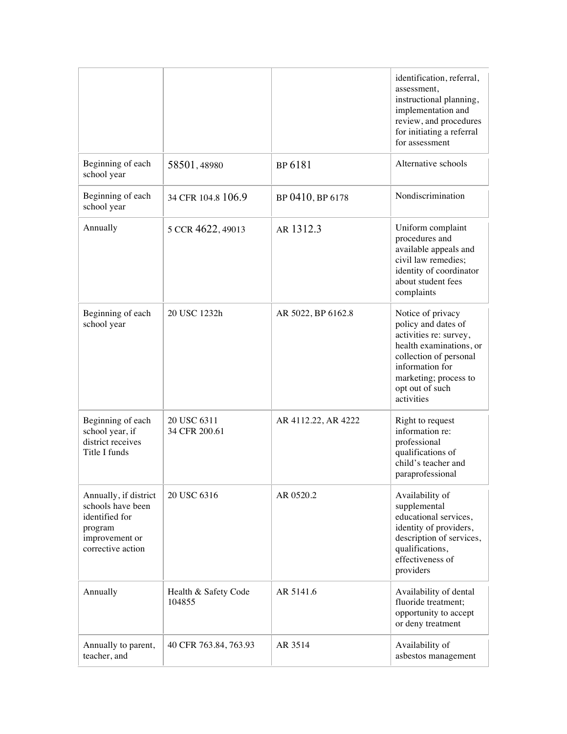|                                                                                                                |                                |                     | identification, referral,<br>assessment,<br>instructional planning,<br>implementation and<br>review, and procedures<br>for initiating a referral<br>for assessment                                   |
|----------------------------------------------------------------------------------------------------------------|--------------------------------|---------------------|------------------------------------------------------------------------------------------------------------------------------------------------------------------------------------------------------|
| Beginning of each<br>school year                                                                               | 58501,48980                    | BP 6181             | Alternative schools                                                                                                                                                                                  |
| Beginning of each<br>school year                                                                               | 34 CFR 104.8 106.9             | BP 0410, BP 6178    | Nondiscrimination                                                                                                                                                                                    |
| Annually                                                                                                       | 5 CCR 4622, 49013              | AR 1312.3           | Uniform complaint<br>procedures and<br>available appeals and<br>civil law remedies;<br>identity of coordinator<br>about student fees<br>complaints                                                   |
| Beginning of each<br>school year                                                                               | 20 USC 1232h                   | AR 5022, BP 6162.8  | Notice of privacy<br>policy and dates of<br>activities re: survey,<br>health examinations, or<br>collection of personal<br>information for<br>marketing; process to<br>opt out of such<br>activities |
| Beginning of each<br>school year, if<br>district receives<br>Title I funds                                     | 20 USC 6311<br>34 CFR 200.61   | AR 4112.22, AR 4222 | Right to request<br>information re:<br>professional<br>qualifications of<br>child's teacher and<br>paraprofessional                                                                                  |
| Annually, if district<br>schools have been<br>identified for<br>program<br>improvement or<br>corrective action | 20 USC 6316                    | AR 0520.2           | Availability of<br>supplemental<br>educational services,<br>identity of providers,<br>description of services,<br>qualifications,<br>effectiveness of<br>providers                                   |
| Annually                                                                                                       | Health & Safety Code<br>104855 | AR 5141.6           | Availability of dental<br>fluoride treatment;<br>opportunity to accept<br>or deny treatment                                                                                                          |
| Annually to parent,<br>teacher, and                                                                            | 40 CFR 763.84, 763.93          | AR 3514             | Availability of<br>asbestos management                                                                                                                                                               |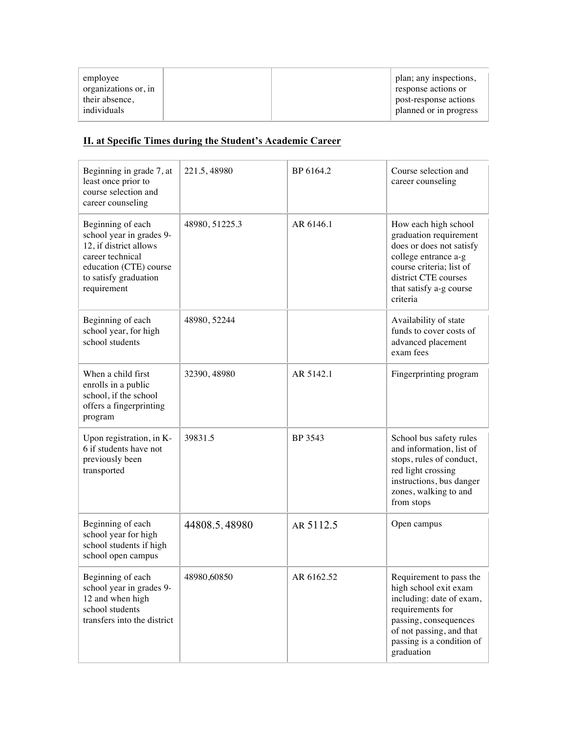## **II. at Specific Times during the Student's Academic Career**

| Beginning in grade 7, at<br>least once prior to<br>course selection and<br>career counseling                                                                  | 221.5, 48980   | BP 6164.2  | Course selection and<br>career counseling                                                                                                                                                        |
|---------------------------------------------------------------------------------------------------------------------------------------------------------------|----------------|------------|--------------------------------------------------------------------------------------------------------------------------------------------------------------------------------------------------|
| Beginning of each<br>school year in grades 9-<br>12, if district allows<br>career technical<br>education (CTE) course<br>to satisfy graduation<br>requirement | 48980, 51225.3 | AR 6146.1  | How each high school<br>graduation requirement<br>does or does not satisfy<br>college entrance a-g<br>course criteria; list of<br>district CTE courses<br>that satisfy a-g course<br>criteria    |
| Beginning of each<br>school year, for high<br>school students                                                                                                 | 48980, 52244   |            | Availability of state<br>funds to cover costs of<br>advanced placement<br>exam fees                                                                                                              |
| When a child first<br>enrolls in a public<br>school, if the school<br>offers a fingerprinting<br>program                                                      | 32390, 48980   | AR 5142.1  | Fingerprinting program                                                                                                                                                                           |
| Upon registration, in K-<br>6 if students have not<br>previously been<br>transported                                                                          | 39831.5        | BP 3543    | School bus safety rules<br>and information, list of<br>stops, rules of conduct,<br>red light crossing<br>instructions, bus danger<br>zones, walking to and<br>from stops                         |
| Beginning of each<br>school year for high<br>school students if high<br>school open campus                                                                    | 44808.5, 48980 | AR 5112.5  | Open campus                                                                                                                                                                                      |
| Beginning of each<br>school year in grades 9-<br>12 and when high<br>school students<br>transfers into the district                                           | 48980,60850    | AR 6162.52 | Requirement to pass the<br>high school exit exam<br>including: date of exam,<br>requirements for<br>passing, consequences<br>of not passing, and that<br>passing is a condition of<br>graduation |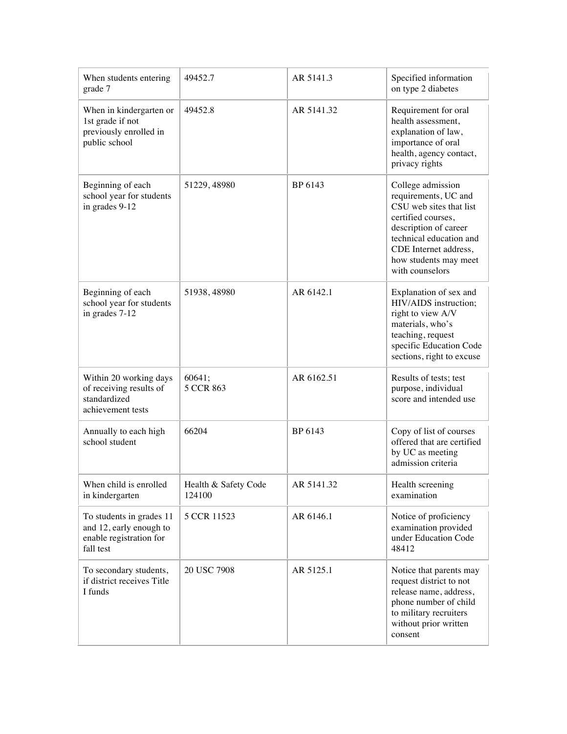| When students entering<br>grade 7                                                           | 49452.7                        | AR 5141.3  | Specified information<br>on type 2 diabetes                                                                                                                                                                         |
|---------------------------------------------------------------------------------------------|--------------------------------|------------|---------------------------------------------------------------------------------------------------------------------------------------------------------------------------------------------------------------------|
| When in kindergarten or<br>1st grade if not<br>previously enrolled in<br>public school      | 49452.8                        | AR 5141.32 | Requirement for oral<br>health assessment,<br>explanation of law,<br>importance of oral<br>health, agency contact,<br>privacy rights                                                                                |
| Beginning of each<br>school year for students<br>in grades 9-12                             | 51229, 48980                   | BP 6143    | College admission<br>requirements, UC and<br>CSU web sites that list<br>certified courses,<br>description of career<br>technical education and<br>CDE Internet address,<br>how students may meet<br>with counselors |
| Beginning of each<br>school year for students<br>in grades 7-12                             | 51938, 48980                   | AR 6142.1  | Explanation of sex and<br>HIV/AIDS instruction;<br>right to view A/V<br>materials, who's<br>teaching, request<br>specific Education Code<br>sections, right to excuse                                               |
| Within 20 working days<br>of receiving results of<br>standardized<br>achievement tests      | 60641;<br>5 CCR 863            | AR 6162.51 | Results of tests; test<br>purpose, individual<br>score and intended use                                                                                                                                             |
| Annually to each high<br>school student                                                     | 66204                          | BP 6143    | Copy of list of courses<br>offered that are certified<br>by UC as meeting<br>admission criteria                                                                                                                     |
| When child is enrolled<br>in kindergarten                                                   | Health & Safety Code<br>124100 | AR 5141.32 | Health screening<br>examination                                                                                                                                                                                     |
| To students in grades 11<br>and 12, early enough to<br>enable registration for<br>fall test | 5 CCR 11523                    | AR 6146.1  | Notice of proficiency<br>examination provided<br>under Education Code<br>48412                                                                                                                                      |
| To secondary students,<br>if district receives Title<br>I funds                             | 20 USC 7908                    | AR 5125.1  | Notice that parents may<br>request district to not<br>release name, address,<br>phone number of child<br>to military recruiters<br>without prior written<br>consent                                                 |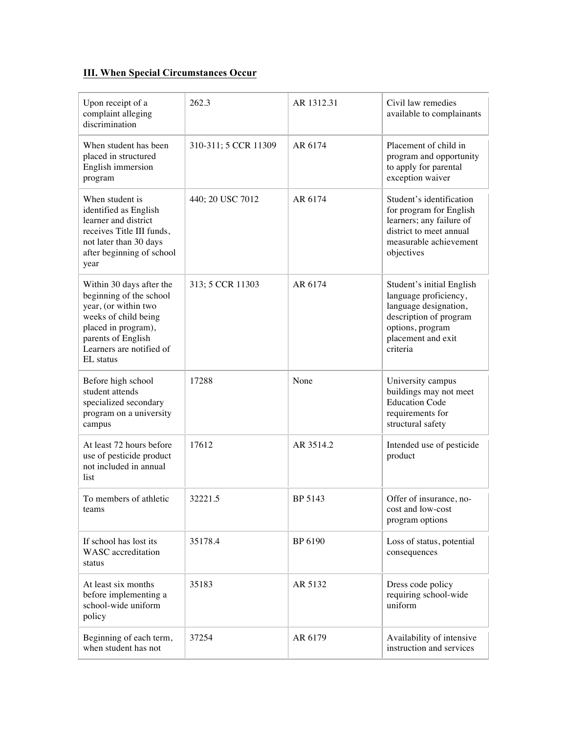## **III. When Special Circumstances Occur**

| Upon receipt of a<br>complaint alleging<br>discrimination                                                                                                                                 | 262.3                | AR 1312.31 | Civil law remedies<br>available to complainants                                                                                                             |
|-------------------------------------------------------------------------------------------------------------------------------------------------------------------------------------------|----------------------|------------|-------------------------------------------------------------------------------------------------------------------------------------------------------------|
| When student has been<br>placed in structured<br>English immersion<br>program                                                                                                             | 310-311; 5 CCR 11309 | AR 6174    | Placement of child in<br>program and opportunity<br>to apply for parental<br>exception waiver                                                               |
| When student is<br>identified as English<br>learner and district<br>receives Title III funds,<br>not later than 30 days<br>after beginning of school<br>year                              | 440; 20 USC 7012     | AR 6174    | Student's identification<br>for program for English<br>learners; any failure of<br>district to meet annual<br>measurable achievement<br>objectives          |
| Within 30 days after the<br>beginning of the school<br>year, (or within two<br>weeks of child being<br>placed in program),<br>parents of English<br>Learners are notified of<br>EL status | 313; 5 CCR 11303     | AR 6174    | Student's initial English<br>language proficiency,<br>language designation,<br>description of program<br>options, program<br>placement and exit<br>criteria |
| Before high school<br>student attends<br>specialized secondary<br>program on a university<br>campus                                                                                       | 17288                | None       | University campus<br>buildings may not meet<br><b>Education Code</b><br>requirements for<br>structural safety                                               |
| At least 72 hours before<br>use of pesticide product<br>not included in annual<br>list                                                                                                    | 17612                | AR 3514.2  | Intended use of pesticide<br>product                                                                                                                        |
| To members of athletic<br>teams                                                                                                                                                           | 32221.5              | BP 5143    | Offer of insurance, no-<br>cost and low-cost<br>program options                                                                                             |
| If school has lost its<br><b>WASC</b> accreditation<br>status                                                                                                                             | 35178.4              | BP 6190    | Loss of status, potential<br>consequences                                                                                                                   |
| At least six months<br>before implementing a<br>school-wide uniform<br>policy                                                                                                             | 35183                | AR 5132    | Dress code policy<br>requiring school-wide<br>uniform                                                                                                       |
| Beginning of each term,<br>when student has not                                                                                                                                           | 37254                | AR 6179    | Availability of intensive<br>instruction and services                                                                                                       |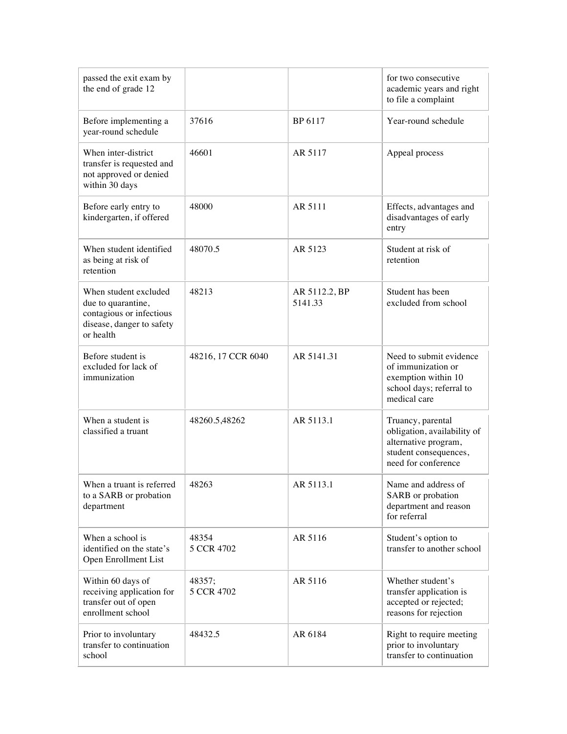| passed the exit exam by<br>the end of grade 12                                                                    |                      |                          | for two consecutive<br>academic years and right<br>to file a complaint                                                   |
|-------------------------------------------------------------------------------------------------------------------|----------------------|--------------------------|--------------------------------------------------------------------------------------------------------------------------|
| Before implementing a<br>year-round schedule                                                                      | 37616                | BP 6117                  | Year-round schedule                                                                                                      |
| When inter-district<br>transfer is requested and<br>not approved or denied<br>within 30 days                      | 46601                | AR 5117                  | Appeal process                                                                                                           |
| Before early entry to<br>kindergarten, if offered                                                                 | 48000                | AR 5111                  | Effects, advantages and<br>disadvantages of early<br>entry                                                               |
| When student identified<br>as being at risk of<br>retention                                                       | 48070.5              | AR 5123                  | Student at risk of<br>retention                                                                                          |
| When student excluded<br>due to quarantine,<br>contagious or infectious<br>disease, danger to safety<br>or health | 48213                | AR 5112.2, BP<br>5141.33 | Student has been<br>excluded from school                                                                                 |
| Before student is<br>excluded for lack of<br>immunization                                                         | 48216, 17 CCR 6040   | AR 5141.31               | Need to submit evidence<br>of immunization or<br>exemption within 10<br>school days; referral to<br>medical care         |
| When a student is<br>classified a truant                                                                          | 48260.5,48262        | AR 5113.1                | Truancy, parental<br>obligation, availability of<br>alternative program,<br>student consequences,<br>need for conference |
| When a truant is referred<br>to a SARB or probation<br>department                                                 | 48263                | AR 5113.1                | Name and address of<br>SARB or probation<br>department and reason<br>for referral                                        |
| When a school is<br>identified on the state's<br>Open Enrollment List                                             | 48354<br>5 CCR 4702  | AR 5116                  | Student's option to<br>transfer to another school                                                                        |
| Within 60 days of<br>receiving application for<br>transfer out of open<br>enrollment school                       | 48357;<br>5 CCR 4702 | AR 5116                  | Whether student's<br>transfer application is<br>accepted or rejected;<br>reasons for rejection                           |
| Prior to involuntary<br>transfer to continuation<br>school                                                        | 48432.5              | AR 6184                  | Right to require meeting<br>prior to involuntary<br>transfer to continuation                                             |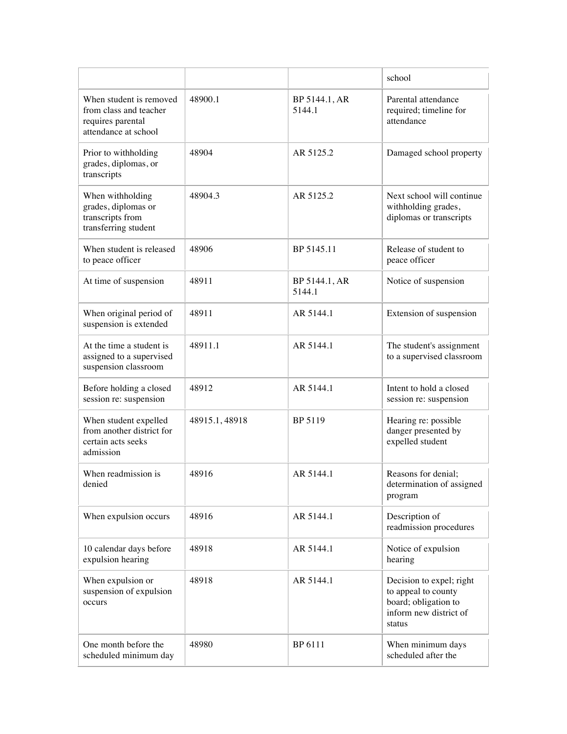|                                                                                                |                |                         | school                                                                                                      |
|------------------------------------------------------------------------------------------------|----------------|-------------------------|-------------------------------------------------------------------------------------------------------------|
| When student is removed<br>from class and teacher<br>requires parental<br>attendance at school | 48900.1        | BP 5144.1, AR<br>5144.1 | Parental attendance<br>required; timeline for<br>attendance                                                 |
| Prior to withholding<br>grades, diplomas, or<br>transcripts                                    | 48904          | AR 5125.2               | Damaged school property                                                                                     |
| When withholding<br>grades, diplomas or<br>transcripts from<br>transferring student            | 48904.3        | AR 5125.2               | Next school will continue<br>withholding grades,<br>diplomas or transcripts                                 |
| When student is released<br>to peace officer                                                   | 48906          | BP 5145.11              | Release of student to<br>peace officer                                                                      |
| At time of suspension                                                                          | 48911          | BP 5144.1, AR<br>5144.1 | Notice of suspension                                                                                        |
| When original period of<br>suspension is extended                                              | 48911          | AR 5144.1               | Extension of suspension                                                                                     |
| At the time a student is<br>assigned to a supervised<br>suspension classroom                   | 48911.1        | AR 5144.1               | The student's assignment<br>to a supervised classroom                                                       |
| Before holding a closed<br>session re: suspension                                              | 48912          | AR 5144.1               | Intent to hold a closed<br>session re: suspension                                                           |
| When student expelled<br>from another district for<br>certain acts seeks<br>admission          | 48915.1, 48918 | BP 5119                 | Hearing re: possible<br>danger presented by<br>expelled student                                             |
| When readmission is<br>denied                                                                  | 48916          | AR 5144.1               | Reasons for denial;<br>determination of assigned<br>program                                                 |
| When expulsion occurs                                                                          | 48916          | AR 5144.1               | Description of<br>readmission procedures                                                                    |
| 10 calendar days before<br>expulsion hearing                                                   | 48918          | AR 5144.1               | Notice of expulsion<br>hearing                                                                              |
| When expulsion or<br>suspension of expulsion<br>occurs                                         | 48918          | AR 5144.1               | Decision to expel; right<br>to appeal to county<br>board; obligation to<br>inform new district of<br>status |
| One month before the<br>scheduled minimum day                                                  | 48980          | BP 6111                 | When minimum days<br>scheduled after the                                                                    |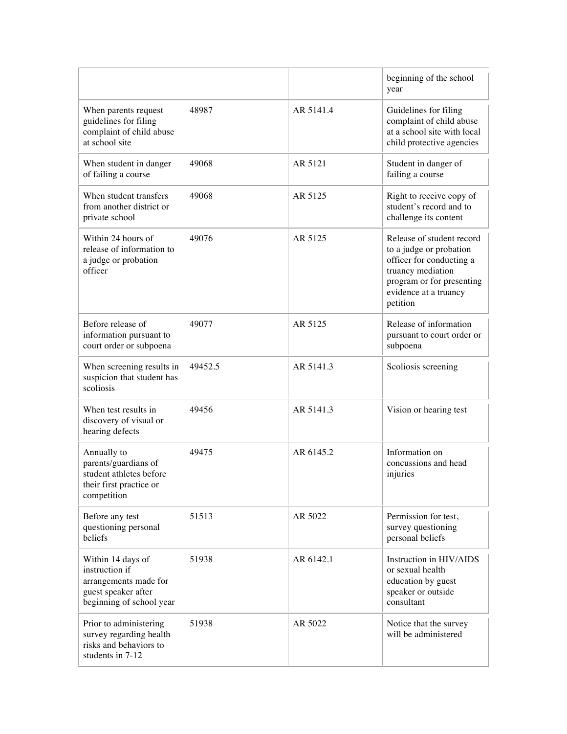|                                                                                                                 |         |           | beginning of the school<br>year                                                                                                                                         |
|-----------------------------------------------------------------------------------------------------------------|---------|-----------|-------------------------------------------------------------------------------------------------------------------------------------------------------------------------|
| When parents request<br>guidelines for filing<br>complaint of child abuse<br>at school site                     | 48987   | AR 5141.4 | Guidelines for filing<br>complaint of child abuse<br>at a school site with local<br>child protective agencies                                                           |
| When student in danger<br>of failing a course                                                                   | 49068   | AR 5121   | Student in danger of<br>failing a course                                                                                                                                |
| When student transfers<br>from another district or<br>private school                                            | 49068   | AR 5125   | Right to receive copy of<br>student's record and to<br>challenge its content                                                                                            |
| Within 24 hours of<br>release of information to<br>a judge or probation<br>officer                              | 49076   | AR 5125   | Release of student record<br>to a judge or probation<br>officer for conducting a<br>truancy mediation<br>program or for presenting<br>evidence at a truancy<br>petition |
| Before release of<br>information pursuant to<br>court order or subpoena                                         | 49077   | AR 5125   | Release of information<br>pursuant to court order or<br>subpoena                                                                                                        |
| When screening results in<br>suspicion that student has<br>scoliosis                                            | 49452.5 | AR 5141.3 | Scoliosis screening                                                                                                                                                     |
| When test results in<br>discovery of visual or<br>hearing defects                                               | 49456   | AR 5141.3 | Vision or hearing test                                                                                                                                                  |
| Annually to<br>parents/guardians of<br>student athletes before<br>their first practice or<br>competition        | 49475   | AR 6145.2 | Information on<br>concussions and head<br>injuries                                                                                                                      |
| Before any test<br>questioning personal<br>beliefs                                                              | 51513   | AR 5022   | Permission for test,<br>survey questioning<br>personal beliefs                                                                                                          |
| Within 14 days of<br>instruction if<br>arrangements made for<br>guest speaker after<br>beginning of school year | 51938   | AR 6142.1 | Instruction in HIV/AIDS<br>or sexual health<br>education by guest<br>speaker or outside<br>consultant                                                                   |
| Prior to administering<br>survey regarding health<br>risks and behaviors to<br>students in 7-12                 | 51938   | AR 5022   | Notice that the survey<br>will be administered                                                                                                                          |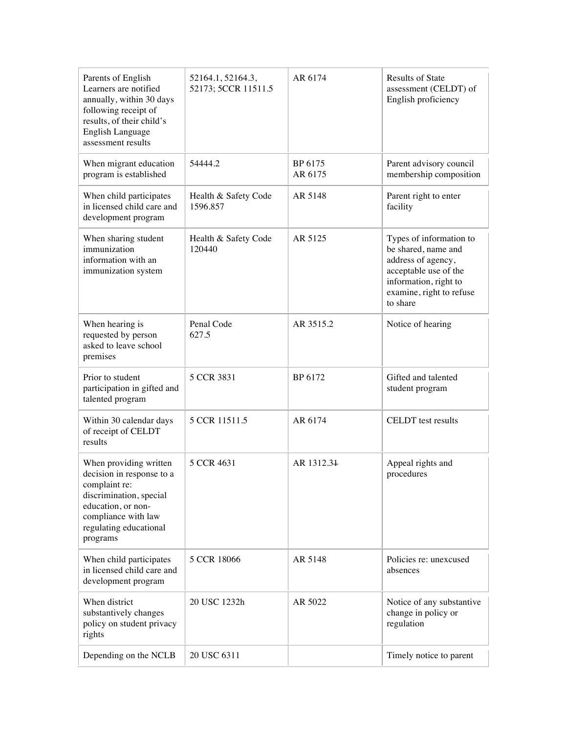| Parents of English<br>Learners are notified<br>annually, within 30 days<br>following receipt of<br>results, of their child's<br>English Language<br>assessment results             | 52164.1, 52164.3,<br>52173; 5CCR 11511.5 | AR 6174            | <b>Results of State</b><br>assessment (CELDT) of<br>English proficiency                                                                                        |
|------------------------------------------------------------------------------------------------------------------------------------------------------------------------------------|------------------------------------------|--------------------|----------------------------------------------------------------------------------------------------------------------------------------------------------------|
| When migrant education<br>program is established                                                                                                                                   | 54444.2                                  | BP 6175<br>AR 6175 | Parent advisory council<br>membership composition                                                                                                              |
| When child participates<br>in licensed child care and<br>development program                                                                                                       | Health & Safety Code<br>1596.857         | AR 5148            | Parent right to enter<br>facility                                                                                                                              |
| When sharing student<br>immunization<br>information with an<br>immunization system                                                                                                 | Health & Safety Code<br>120440           | AR 5125            | Types of information to<br>be shared, name and<br>address of agency,<br>acceptable use of the<br>information, right to<br>examine, right to refuse<br>to share |
| When hearing is<br>requested by person<br>asked to leave school<br>premises                                                                                                        | Penal Code<br>627.5                      | AR 3515.2          | Notice of hearing                                                                                                                                              |
| Prior to student<br>participation in gifted and<br>talented program                                                                                                                | 5 CCR 3831                               | BP 6172            | Gifted and talented<br>student program                                                                                                                         |
| Within 30 calendar days<br>of receipt of CELDT<br>results                                                                                                                          | 5 CCR 11511.5                            | AR 6174            | CELDT test results                                                                                                                                             |
| When providing written<br>decision in response to a<br>complaint re:<br>discrimination, special<br>education, or non-<br>compliance with law<br>regulating educational<br>programs | 5 CCR 4631                               | AR 1312.31         | Appeal rights and<br>procedures                                                                                                                                |
| When child participates<br>in licensed child care and<br>development program                                                                                                       | 5 CCR 18066                              | AR 5148            | Policies re: unexcused<br>absences                                                                                                                             |
| When district<br>substantively changes<br>policy on student privacy<br>rights                                                                                                      | 20 USC 1232h                             | AR 5022            | Notice of any substantive<br>change in policy or<br>regulation                                                                                                 |
| Depending on the NCLB                                                                                                                                                              | 20 USC 6311                              |                    | Timely notice to parent                                                                                                                                        |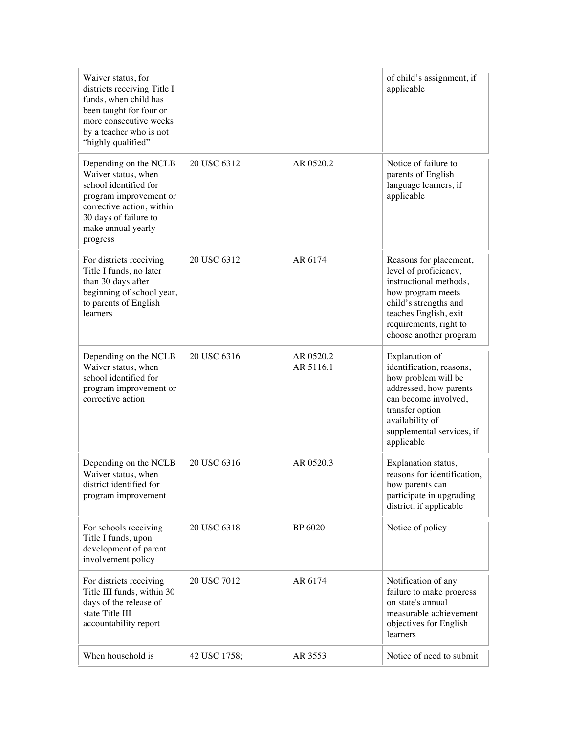| Waiver status, for<br>districts receiving Title I<br>funds, when child has<br>been taught for four or<br>more consecutive weeks<br>by a teacher who is not<br>"highly qualified"        |              |                        | of child's assignment, if<br>applicable                                                                                                                                                              |
|-----------------------------------------------------------------------------------------------------------------------------------------------------------------------------------------|--------------|------------------------|------------------------------------------------------------------------------------------------------------------------------------------------------------------------------------------------------|
| Depending on the NCLB<br>Waiver status, when<br>school identified for<br>program improvement or<br>corrective action, within<br>30 days of failure to<br>make annual yearly<br>progress | 20 USC 6312  | AR 0520.2              | Notice of failure to<br>parents of English<br>language learners, if<br>applicable                                                                                                                    |
| For districts receiving<br>Title I funds, no later<br>than 30 days after<br>beginning of school year,<br>to parents of English<br>learners                                              | 20 USC 6312  | AR 6174                | Reasons for placement,<br>level of proficiency,<br>instructional methods,<br>how program meets<br>child's strengths and<br>teaches English, exit<br>requirements, right to<br>choose another program |
| Depending on the NCLB<br>Waiver status, when<br>school identified for<br>program improvement or<br>corrective action                                                                    | 20 USC 6316  | AR 0520.2<br>AR 5116.1 | Explanation of<br>identification, reasons,<br>how problem will be<br>addressed, how parents<br>can become involved,<br>transfer option<br>availability of<br>supplemental services, if<br>applicable |
| Depending on the NCLB<br>Waiver status, when<br>district identified for<br>program improvement                                                                                          | 20 USC 6316  | AR 0520.3              | Explanation status,<br>reasons for identification,<br>how parents can<br>participate in upgrading<br>district, if applicable                                                                         |
| For schools receiving<br>Title I funds, upon<br>development of parent<br>involvement policy                                                                                             | 20 USC 6318  | BP 6020                | Notice of policy                                                                                                                                                                                     |
| For districts receiving<br>Title III funds, within 30<br>days of the release of<br>state Title III<br>accountability report                                                             | 20 USC 7012  | AR 6174                | Notification of any<br>failure to make progress<br>on state's annual<br>measurable achievement<br>objectives for English<br>learners                                                                 |
| When household is                                                                                                                                                                       | 42 USC 1758; | AR 3553                | Notice of need to submit                                                                                                                                                                             |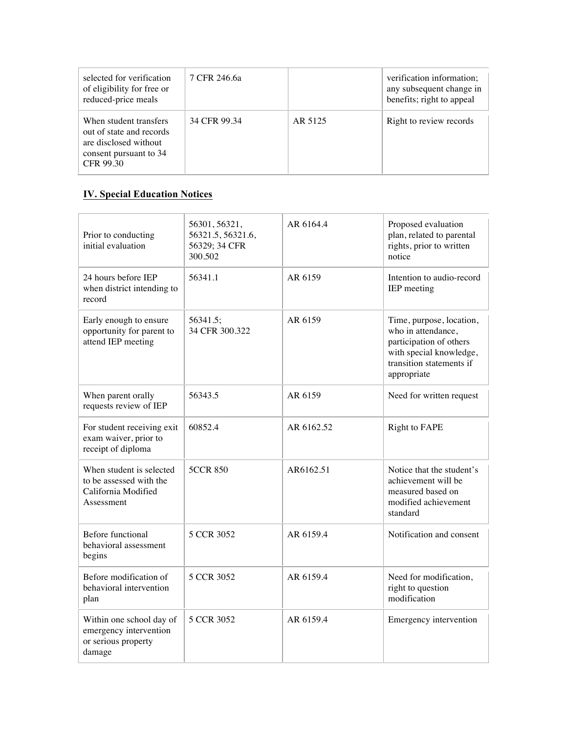| selected for verification<br>of eligibility for free or<br>reduced-price meals                                     | 7 CFR 246.6a |         | verification information;<br>any subsequent change in<br>benefits; right to appeal |
|--------------------------------------------------------------------------------------------------------------------|--------------|---------|------------------------------------------------------------------------------------|
| When student transfers<br>out of state and records<br>are disclosed without<br>consent pursuant to 34<br>CFR 99.30 | 34 CFR 99.34 | AR 5125 | Right to review records                                                            |

# **IV. Special Education Notices**

| Prior to conducting<br>initial evaluation                                                | 56301, 56321,<br>56321.5, 56321.6,<br>56329; 34 CFR<br>300.502 | AR 6164.4  | Proposed evaluation<br>plan, related to parental<br>rights, prior to written<br>notice                                                          |
|------------------------------------------------------------------------------------------|----------------------------------------------------------------|------------|-------------------------------------------------------------------------------------------------------------------------------------------------|
| 24 hours before IEP<br>when district intending to<br>record                              | 56341.1                                                        | AR 6159    | Intention to audio-record<br>IEP meeting                                                                                                        |
| Early enough to ensure<br>opportunity for parent to<br>attend IEP meeting                | 56341.5;<br>34 CFR 300.322                                     | AR 6159    | Time, purpose, location,<br>who in attendance,<br>participation of others<br>with special knowledge,<br>transition statements if<br>appropriate |
| When parent orally<br>requests review of IEP                                             | 56343.5                                                        | AR 6159    | Need for written request                                                                                                                        |
| For student receiving exit<br>exam waiver, prior to<br>receipt of diploma                | 60852.4                                                        | AR 6162.52 | <b>Right to FAPE</b>                                                                                                                            |
| When student is selected<br>to be assessed with the<br>California Modified<br>Assessment | <b>5CCR 850</b>                                                | AR6162.51  | Notice that the student's<br>achievement will be<br>measured based on<br>modified achievement<br>standard                                       |
| <b>Before functional</b><br>behavioral assessment<br>begins                              | 5 CCR 3052                                                     | AR 6159.4  | Notification and consent                                                                                                                        |
| Before modification of<br>behavioral intervention<br>plan                                | 5 CCR 3052                                                     | AR 6159.4  | Need for modification,<br>right to question<br>modification                                                                                     |
| Within one school day of<br>emergency intervention<br>or serious property<br>damage      | 5 CCR 3052                                                     | AR 6159.4  | Emergency intervention                                                                                                                          |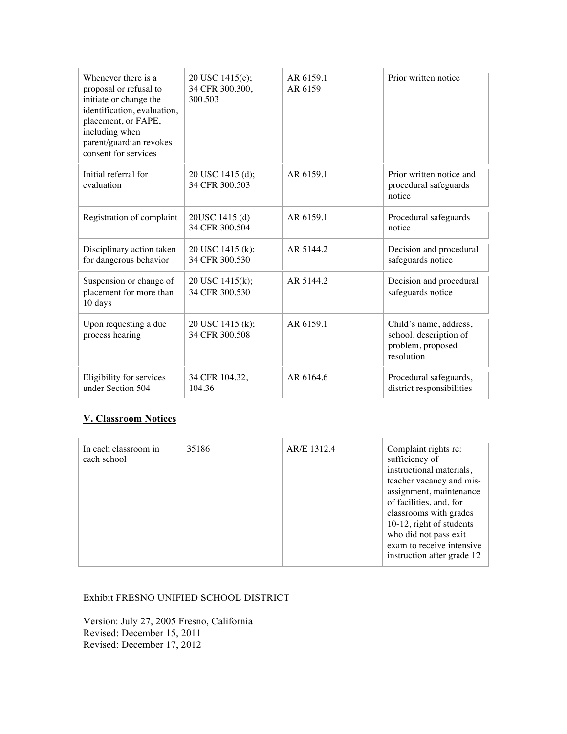| Whenever there is a<br>proposal or refusal to<br>initiate or change the<br>identification, evaluation,<br>placement, or FAPE,<br>including when<br>parent/guardian revokes<br>consent for services | 20 USC 1415(c);<br>34 CFR 300.300,<br>300.503 | AR 6159.1<br>AR 6159 | Prior written notice                                                                |
|----------------------------------------------------------------------------------------------------------------------------------------------------------------------------------------------------|-----------------------------------------------|----------------------|-------------------------------------------------------------------------------------|
| Initial referral for<br>evaluation                                                                                                                                                                 | 20 USC 1415 (d);<br>34 CFR 300.503            | AR 6159.1            | Prior written notice and<br>procedural safeguards<br>notice                         |
| Registration of complaint                                                                                                                                                                          | 20USC 1415 (d)<br>34 CFR 300.504              | AR 6159.1            | Procedural safeguards<br>notice                                                     |
| Disciplinary action taken<br>for dangerous behavior                                                                                                                                                | 20 USC 1415 (k);<br>34 CFR 300.530            | AR 5144.2            | Decision and procedural<br>safeguards notice                                        |
| Suspension or change of<br>placement for more than<br>10 days                                                                                                                                      | 20 USC 1415(k);<br>34 CFR 300.530             | AR 5144.2            | Decision and procedural<br>safeguards notice                                        |
| Upon requesting a due<br>process hearing                                                                                                                                                           | 20 USC 1415 (k);<br>34 CFR 300.508            | AR 6159.1            | Child's name, address,<br>school, description of<br>problem, proposed<br>resolution |
| Eligibility for services<br>under Section 504                                                                                                                                                      | 34 CFR 104.32,<br>104.36                      | AR 6164.6            | Procedural safeguards,<br>district responsibilities                                 |

### **V. Classroom Notices**

#### Exhibit FRESNO UNIFIED SCHOOL DISTRICT

Version: July 27, 2005 Fresno, California Revised: December 15, 2011 Revised: December 17, 2012